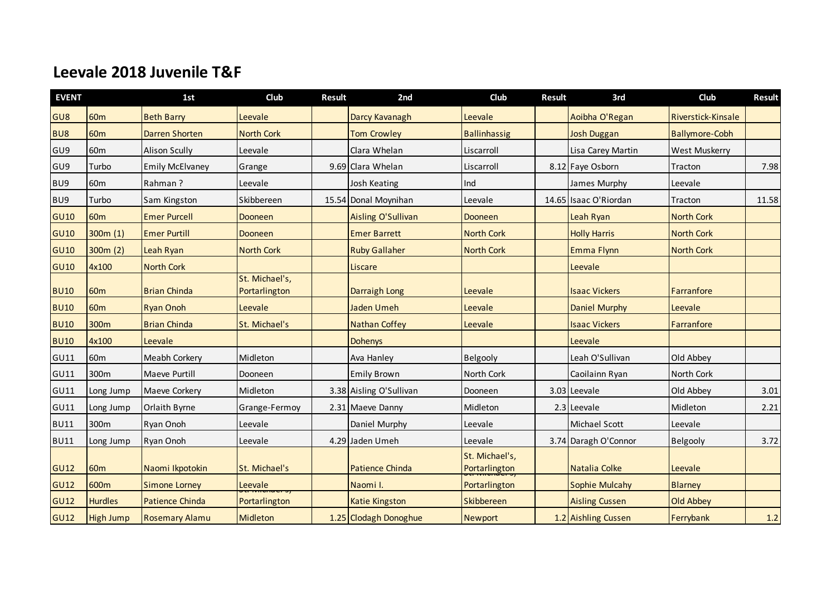## **Leevale 2018 Juvenile T&F**

| <b>EVENT</b> |                  | 1st                    | Club                            | <b>Result</b> | 2nd                     | Club                            | <b>Result</b> | 3rd                   | Club                  | <b>Result</b> |
|--------------|------------------|------------------------|---------------------------------|---------------|-------------------------|---------------------------------|---------------|-----------------------|-----------------------|---------------|
| GU8          | 60 <sub>m</sub>  | <b>Beth Barry</b>      | Leevale                         |               | Darcy Kavanagh          | Leevale                         |               | Aoibha O'Regan        | Riverstick-Kinsale    |               |
| BU8          | <b>60m</b>       | <b>Darren Shorten</b>  | <b>North Cork</b>               |               | <b>Tom Crowley</b>      | <b>Ballinhassig</b>             |               | Josh Duggan           | <b>Ballymore-Cobh</b> |               |
| GU9          | 60 <sub>m</sub>  | <b>Alison Scully</b>   | Leevale                         |               | Clara Whelan            | Liscarroll                      |               | Lisa Carey Martin     | West Muskerry         |               |
| GU9          | Turbo            | <b>Emily McElvaney</b> | Grange                          |               | 9.69 Clara Whelan       | Liscarroll                      |               | 8.12 Faye Osborn      | Tracton               | 7.98          |
| BU9          | 60 <sub>m</sub>  | Rahman?                | Leevale                         |               | Josh Keating            | Ind                             |               | James Murphy          | Leevale               |               |
| BU9          | Turbo            | Sam Kingston           | Skibbereen                      |               | 15.54 Donal Moynihan    | Leevale                         |               | 14.65 Isaac O'Riordan | Tracton               | 11.58         |
| <b>GU10</b>  | 60 <sub>m</sub>  | <b>Emer Purcell</b>    | <b>Dooneen</b>                  |               | Aisling O'Sullivan      | Dooneen                         |               | Leah Ryan             | <b>North Cork</b>     |               |
| <b>GU10</b>  | 300m(1)          | <b>Emer Purtill</b>    | Dooneen                         |               | <b>Emer Barrett</b>     | <b>North Cork</b>               |               | <b>Holly Harris</b>   | <b>North Cork</b>     |               |
| <b>GU10</b>  | 300m(2)          | Leah Ryan              | <b>North Cork</b>               |               | <b>Ruby Gallaher</b>    | <b>North Cork</b>               |               | Emma Flynn            | <b>North Cork</b>     |               |
| <b>GU10</b>  | 4x100            | <b>North Cork</b>      |                                 |               | Liscare                 |                                 |               | Leevale               |                       |               |
| <b>BU10</b>  | 60 <sub>m</sub>  | <b>Brian Chinda</b>    | St. Michael's,<br>Portarlington |               | Darraigh Long           | Leevale                         |               | <b>Isaac Vickers</b>  | Farranfore            |               |
| <b>BU10</b>  | 60 <sub>m</sub>  | <b>Ryan Onoh</b>       | Leevale                         |               | Jaden Umeh              | Leevale                         |               | <b>Daniel Murphy</b>  | Leevale               |               |
| <b>BU10</b>  | 300m             | <b>Brian Chinda</b>    | St. Michael's                   |               | <b>Nathan Coffey</b>    | Leevale                         |               | <b>Isaac Vickers</b>  | Farranfore            |               |
| <b>BU10</b>  | 4x100            | Leevale                |                                 |               | <b>Dohenys</b>          |                                 |               | Leevale               |                       |               |
| GU11         | 60 <sub>m</sub>  | Meabh Corkery          | Midleton                        |               | Ava Hanley              | Belgooly                        |               | Leah O'Sullivan       | Old Abbey             |               |
| GU11         | 300m             | Maeve Purtill          | Dooneen                         |               | <b>Emily Brown</b>      | North Cork                      |               | Caoilainn Ryan        | North Cork            |               |
| GU11         | Long Jump        | Maeve Corkery          | Midleton                        |               | 3.38 Aisling O'Sullivan | Dooneen                         |               | 3.03 Leevale          | Old Abbey             | 3.01          |
| GU11         | Long Jump        | Orlaith Byrne          | Grange-Fermoy                   |               | 2.31 Maeve Danny        | Midleton                        |               | 2.3 Leevale           | Midleton              | 2.21          |
| <b>BU11</b>  | 300m             | Ryan Onoh              | Leevale                         |               | Daniel Murphy           | Leevale                         |               | Michael Scott         | Leevale               |               |
| <b>BU11</b>  | Long Jump        | Ryan Onoh              | Leevale                         |               | 4.29 Jaden Umeh         | Leevale                         |               | 3.74 Daragh O'Connor  | Belgooly              | 3.72          |
| <b>GU12</b>  | 60 <sub>m</sub>  | Naomi Ikpotokin        | St. Michael's                   |               | <b>Patience Chinda</b>  | St. Michael's,<br>Portarlington |               | Natalia Colke         | Leevale               |               |
| <b>GU12</b>  | 600m             | <b>Simone Lorney</b>   | Leevale                         |               | Naomi I.                | Portarlington                   |               | <b>Sophie Mulcahy</b> | <b>Blarney</b>        |               |
| <b>GU12</b>  | <b>Hurdles</b>   | <b>Patience Chinda</b> | Portarlington                   |               | <b>Katie Kingston</b>   | <b>Skibbereen</b>               |               | <b>Aisling Cussen</b> | <b>Old Abbey</b>      |               |
| <b>GU12</b>  | <b>High Jump</b> | <b>Rosemary Alamu</b>  | Midleton                        |               | 1.25 Clodagh Donoghue   | <b>Newport</b>                  |               | 1.2 Aishling Cussen   | Ferrybank             | 1.2           |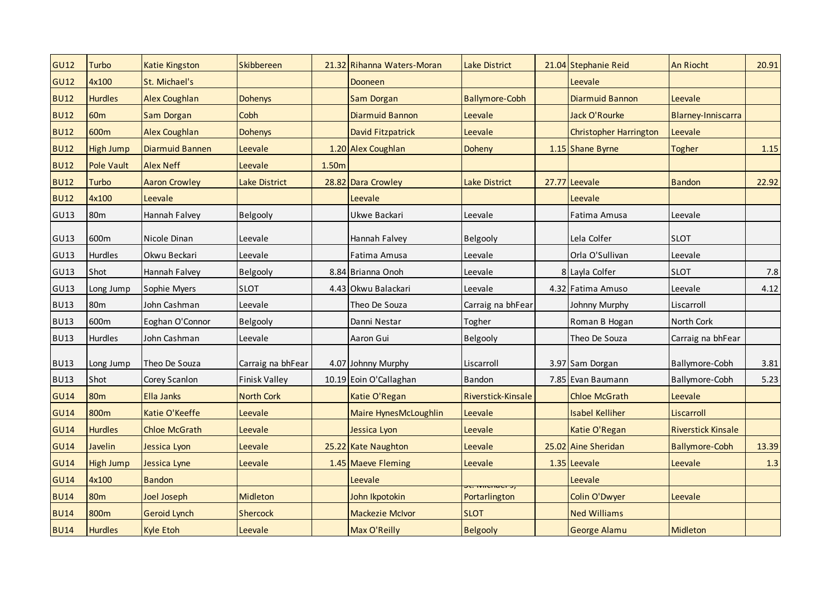| <b>GU12</b> | <b>Turbo</b>      | <b>Katie Kingston</b>  | Skibbereen           |       | 21.32 Rihanna Waters-Moran | <b>Lake District</b>  | 21.04 Stephanie Reid          | <b>An Riocht</b>          | 20.91  |
|-------------|-------------------|------------------------|----------------------|-------|----------------------------|-----------------------|-------------------------------|---------------------------|--------|
| <b>GU12</b> | 4x100             | St. Michael's          |                      |       | Dooneen                    |                       | Leevale                       |                           |        |
| <b>BU12</b> | <b>Hurdles</b>    | <b>Alex Coughlan</b>   | <b>Dohenys</b>       |       | Sam Dorgan                 | <b>Ballymore-Cobh</b> | <b>Diarmuid Bannon</b>        | Leevale                   |        |
| <b>BU12</b> | 60 <sub>m</sub>   | Sam Dorgan             | Cobh                 |       | <b>Diarmuid Bannon</b>     | Leevale               | Jack O'Rourke                 | Blarney-Inniscarra        |        |
| <b>BU12</b> | 600m              | <b>Alex Coughlan</b>   | <b>Dohenys</b>       |       | David Fitzpatrick          | Leevale               | <b>Christopher Harrington</b> | Leevale                   |        |
| <b>BU12</b> | <b>High Jump</b>  | <b>Diarmuid Bannen</b> | Leevale              |       | 1.20 Alex Coughlan         | Doheny                | 1.15 Shane Byrne              | Togher                    | $1.15$ |
| <b>BU12</b> | <b>Pole Vault</b> | <b>Alex Neff</b>       | Leevale              | 1.50m |                            |                       |                               |                           |        |
| <b>BU12</b> | Turbo             | <b>Aaron Crowley</b>   | Lake District        |       | 28.82 Dara Crowley         | Lake District         | 27.77 Leevale                 | <b>Bandon</b>             | 22.92  |
| <b>BU12</b> | 4x100             | Leevale                |                      |       | Leevale                    |                       | Leevale                       |                           |        |
| GU13        | 80 <sub>m</sub>   | Hannah Falvey          | Belgooly             |       | Ukwe Backari               | Leevale               | Fatima Amusa                  | Leevale                   |        |
| GU13        | 600m              | Nicole Dinan           | Leevale              |       | Hannah Falvey              | Belgooly              | Lela Colfer                   | <b>SLOT</b>               |        |
| <b>GU13</b> | Hurdles           | Okwu Beckari           | Leevale              |       | Fatima Amusa               | Leevale               | Orla O'Sullivan               | Leevale                   |        |
| GU13        | Shot              | Hannah Falvey          | Belgooly             |       | 8.84 Brianna Onoh          | Leevale               | 8 Layla Colfer                | <b>SLOT</b>               | 7.8    |
| <b>GU13</b> | Long Jump         | Sophie Myers           | <b>SLOT</b>          |       | 4.43 Okwu Balackari        | Leevale               | 4.32 Fatima Amuso             | Leevale                   | 4.12   |
| <b>BU13</b> | 80 <sub>m</sub>   | John Cashman           | Leevale              |       | Theo De Souza              | Carraig na bhFear     | Johnny Murphy                 | Liscarroll                |        |
| <b>BU13</b> | 600m              | Eoghan O'Connor        | Belgooly             |       | Danni Nestar               | Togher                | Roman B Hogan                 | North Cork                |        |
| <b>BU13</b> | Hurdles           | John Cashman           | Leevale              |       | Aaron Gui                  | Belgooly              | Theo De Souza                 | Carraig na bhFear         |        |
| <b>BU13</b> | Long Jump         | Theo De Souza          | Carraig na bhFear    |       | 4.07 Johnny Murphy         | Liscarroll            | 3.97 Sam Dorgan               | Ballymore-Cobh            | 3.81   |
| <b>BU13</b> | Shot              | Corey Scanlon          | <b>Finisk Valley</b> |       | 10.19 Eoin O'Callaghan     | Bandon                | 7.85 Evan Baumann             | Ballymore-Cobh            | 5.23   |
| <b>GU14</b> | 80 <sub>m</sub>   | Ella Janks             | <b>North Cork</b>    |       | Katie O'Regan              | Riverstick-Kinsale    | <b>Chloe McGrath</b>          | Leevale                   |        |
| <b>GU14</b> | 800m              | Katie O'Keeffe         | Leevale              |       | Maire HynesMcLoughlin      | Leevale               | <b>Isabel Kelliher</b>        | Liscarroll                |        |
| <b>GU14</b> | <b>Hurdles</b>    | <b>Chloe McGrath</b>   | Leevale              |       | Jessica Lyon               | Leevale               | Katie O'Regan                 | <b>Riverstick Kinsale</b> |        |
| <b>GU14</b> | Javelin           | Jessica Lyon           | Leevale              |       | 25.22 Kate Naughton        | Leevale               | 25.02 Aine Sheridan           | <b>Ballymore-Cobh</b>     | 13.39  |
| <b>GU14</b> | <b>High Jump</b>  | Jessica Lyne           | Leevale              |       | 1.45 Maeve Fleming         | Leevale               | 1.35 Leevale                  | Leevale                   | 1.3    |
| <b>GU14</b> | 4x100             | <b>Bandon</b>          |                      |       | Leevale                    |                       | Leevale                       |                           |        |
| <b>BU14</b> | 80 <sub>m</sub>   | Joel Joseph            | <b>Midleton</b>      |       | John Ikpotokin             | Portarlington         | <b>Colin O'Dwyer</b>          | Leevale                   |        |
| <b>BU14</b> | 800m              | <b>Geroid Lynch</b>    | <b>Shercock</b>      |       | <b>Mackezie McIvor</b>     | <b>SLOT</b>           | <b>Ned Williams</b>           |                           |        |
| <b>BU14</b> | <b>Hurdles</b>    | <b>Kyle Etoh</b>       | Leevale              |       | Max O'Reilly               | <b>Belgooly</b>       | <b>George Alamu</b>           | Midleton                  |        |